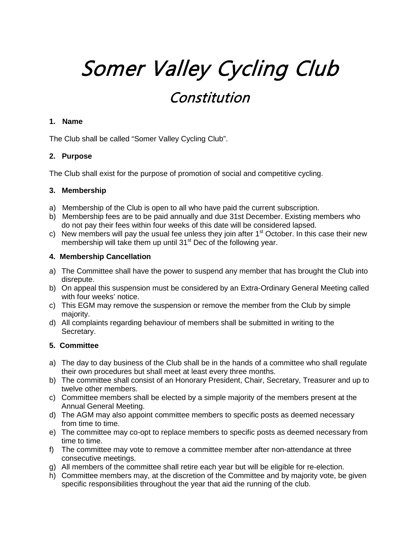# Somer Valley Cycling Club Constitution

#### **1. Name**

The Club shall be called "Somer Valley Cycling Club".

#### **2. Purpose**

The Club shall exist for the purpose of promotion of social and competitive cycling.

#### **3. Membership**

- a) Membership of the Club is open to all who have paid the current subscription.
- b) Membership fees are to be paid annually and due 31st December. Existing members who do not pay their fees within four weeks of this date will be considered lapsed.
- c) New members will pay the usual fee unless they join after  $1<sup>st</sup>$  October. In this case their new membership will take them up until  $31<sup>st</sup>$  Dec of the following year.

#### **4. Membership Cancellation**

- a) The Committee shall have the power to suspend any member that has brought the Club into disrepute.
- b) On appeal this suspension must be considered by an Extra-Ordinary General Meeting called with four weeks' notice.
- c) This EGM may remove the suspension or remove the member from the Club by simple majority.
- d) All complaints regarding behaviour of members shall be submitted in writing to the Secretary.

#### **5. Committee**

- a) The day to day business of the Club shall be in the hands of a committee who shall regulate their own procedures but shall meet at least every three months.
- b) The committee shall consist of an Honorary President, Chair, Secretary, Treasurer and up to twelve other members.
- c) Committee members shall be elected by a simple majority of the members present at the Annual General Meeting.
- d) The AGM may also appoint committee members to specific posts as deemed necessary from time to time.
- e) The committee may co-opt to replace members to specific posts as deemed necessary from time to time.
- f) The committee may vote to remove a committee member after non-attendance at three consecutive meetings.
- g) All members of the committee shall retire each year but will be eligible for re-election.
- h) Committee members may, at the discretion of the Committee and by majority vote, be given specific responsibilities throughout the year that aid the running of the club.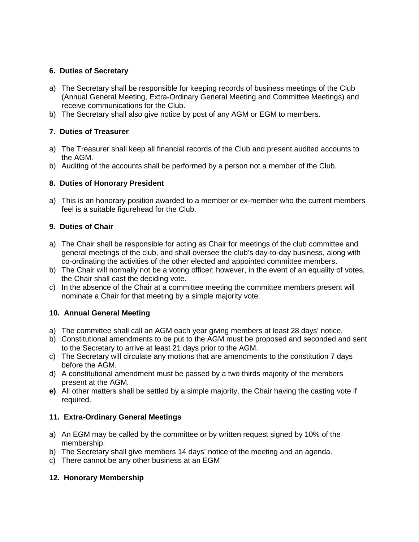## **6. Duties of Secretary**

- a) The Secretary shall be responsible for keeping records of business meetings of the Club (Annual General Meeting, Extra-Ordinary General Meeting and Committee Meetings) and receive communications for the Club.
- b) The Secretary shall also give notice by post of any AGM or EGM to members.

# **7. Duties of Treasurer**

- a) The Treasurer shall keep all financial records of the Club and present audited accounts to the AGM.
- b) Auditing of the accounts shall be performed by a person not a member of the Club.

# **8. Duties of Honorary President**

a) This is an honorary position awarded to a member or ex-member who the current members feel is a suitable figurehead for the Club.

## **9. Duties of Chair**

- a) The Chair shall be responsible for acting as Chair for meetings of the club committee and general meetings of the club, and shall oversee the club's day-to-day business, along with co-ordinating the activities of the other elected and appointed committee members.
- b) The Chair will normally not be a voting officer; however, in the event of an equality of votes, the Chair shall cast the deciding vote.
- c) In the absence of the Chair at a committee meeting the committee members present will nominate a Chair for that meeting by a simple majority vote.

# **10. Annual General Meeting**

- a) The committee shall call an AGM each year giving members at least 28 days' notice.
- b) Constitutional amendments to be put to the AGM must be proposed and seconded and sent to the Secretary to arrive at least 21 days prior to the AGM.
- c) The Secretary will circulate any motions that are amendments to the constitution 7 days before the AGM.
- d) A constitutional amendment must be passed by a two thirds majority of the members present at the AGM.
- **e)** All other matters shall be settled by a simple majority, the Chair having the casting vote if required.

# **11. Extra-Ordinary General Meetings**

- a) An EGM may be called by the committee or by written request signed by 10% of the membership.
- b) The Secretary shall give members 14 days' notice of the meeting and an agenda.
- c) There cannot be any other business at an EGM

# **12. Honorary Membership**